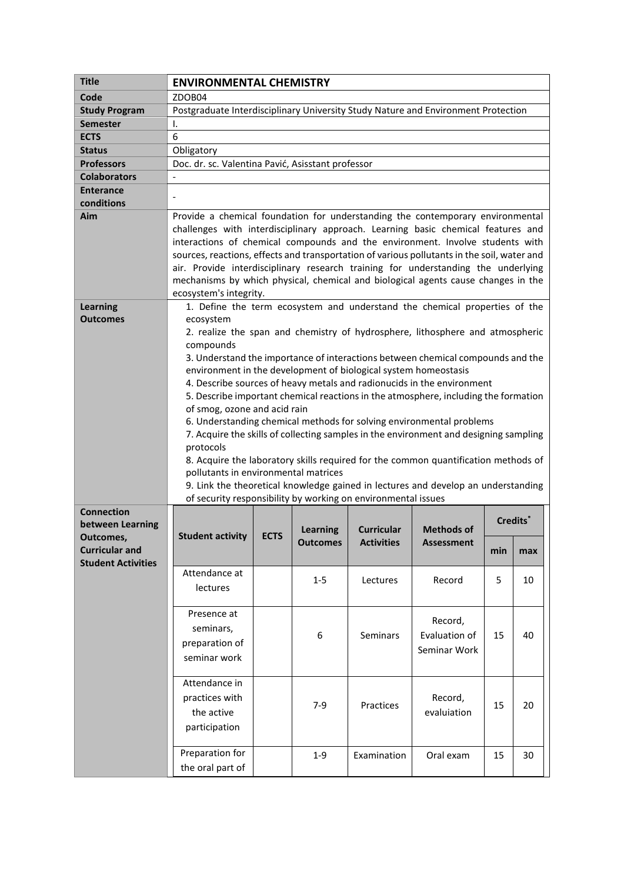| <b>Title</b>                                       | <b>ENVIRONMENTAL CHEMISTRY</b>                                                                                                                                                                                                                                                                                                                                                                                                                                                                                                                                                                                                                                                                                                                                                                                                                                                                                                                                                                                 |             |                             |                                        |                                          |          |     |  |  |  |  |  |
|----------------------------------------------------|----------------------------------------------------------------------------------------------------------------------------------------------------------------------------------------------------------------------------------------------------------------------------------------------------------------------------------------------------------------------------------------------------------------------------------------------------------------------------------------------------------------------------------------------------------------------------------------------------------------------------------------------------------------------------------------------------------------------------------------------------------------------------------------------------------------------------------------------------------------------------------------------------------------------------------------------------------------------------------------------------------------|-------------|-----------------------------|----------------------------------------|------------------------------------------|----------|-----|--|--|--|--|--|
| Code                                               | ZDOB04                                                                                                                                                                                                                                                                                                                                                                                                                                                                                                                                                                                                                                                                                                                                                                                                                                                                                                                                                                                                         |             |                             |                                        |                                          |          |     |  |  |  |  |  |
| <b>Study Program</b>                               | Postgraduate Interdisciplinary University Study Nature and Environment Protection                                                                                                                                                                                                                                                                                                                                                                                                                                                                                                                                                                                                                                                                                                                                                                                                                                                                                                                              |             |                             |                                        |                                          |          |     |  |  |  |  |  |
| <b>Semester</b>                                    | Ι.                                                                                                                                                                                                                                                                                                                                                                                                                                                                                                                                                                                                                                                                                                                                                                                                                                                                                                                                                                                                             |             |                             |                                        |                                          |          |     |  |  |  |  |  |
| <b>ECTS</b>                                        | 6                                                                                                                                                                                                                                                                                                                                                                                                                                                                                                                                                                                                                                                                                                                                                                                                                                                                                                                                                                                                              |             |                             |                                        |                                          |          |     |  |  |  |  |  |
| <b>Status</b>                                      | Obligatory                                                                                                                                                                                                                                                                                                                                                                                                                                                                                                                                                                                                                                                                                                                                                                                                                                                                                                                                                                                                     |             |                             |                                        |                                          |          |     |  |  |  |  |  |
| <b>Professors</b>                                  | Doc. dr. sc. Valentina Pavić, Asisstant professor                                                                                                                                                                                                                                                                                                                                                                                                                                                                                                                                                                                                                                                                                                                                                                                                                                                                                                                                                              |             |                             |                                        |                                          |          |     |  |  |  |  |  |
| <b>Colaborators</b>                                | $\overline{\phantom{0}}$                                                                                                                                                                                                                                                                                                                                                                                                                                                                                                                                                                                                                                                                                                                                                                                                                                                                                                                                                                                       |             |                             |                                        |                                          |          |     |  |  |  |  |  |
| <b>Enterance</b>                                   |                                                                                                                                                                                                                                                                                                                                                                                                                                                                                                                                                                                                                                                                                                                                                                                                                                                                                                                                                                                                                |             |                             |                                        |                                          |          |     |  |  |  |  |  |
| conditions                                         |                                                                                                                                                                                                                                                                                                                                                                                                                                                                                                                                                                                                                                                                                                                                                                                                                                                                                                                                                                                                                |             |                             |                                        |                                          |          |     |  |  |  |  |  |
| Aim                                                | Provide a chemical foundation for understanding the contemporary environmental<br>challenges with interdisciplinary approach. Learning basic chemical features and<br>interactions of chemical compounds and the environment. Involve students with<br>sources, reactions, effects and transportation of various pollutants in the soil, water and<br>air. Provide interdisciplinary research training for understanding the underlying<br>mechanisms by which physical, chemical and biological agents cause changes in the<br>ecosystem's integrity.                                                                                                                                                                                                                                                                                                                                                                                                                                                         |             |                             |                                        |                                          |          |     |  |  |  |  |  |
| <b>Learning</b><br><b>Outcomes</b>                 | 1. Define the term ecosystem and understand the chemical properties of the<br>ecosystem<br>2. realize the span and chemistry of hydrosphere, lithosphere and atmospheric<br>compounds<br>3. Understand the importance of interactions between chemical compounds and the<br>environment in the development of biological system homeostasis<br>4. Describe sources of heavy metals and radionucids in the environment<br>5. Describe important chemical reactions in the atmosphere, including the formation<br>of smog, ozone and acid rain<br>6. Understanding chemical methods for solving environmental problems<br>7. Acquire the skills of collecting samples in the environment and designing sampling<br>protocols<br>8. Acquire the laboratory skills required for the common quantification methods of<br>pollutants in environmental matrices<br>9. Link the theoretical knowledge gained in lectures and develop an understanding<br>of security responsibility by working on environmental issues |             |                             |                                        |                                          |          |     |  |  |  |  |  |
| <b>Connection</b><br>between Learning<br>Outcomes, | <b>Student activity</b>                                                                                                                                                                                                                                                                                                                                                                                                                                                                                                                                                                                                                                                                                                                                                                                                                                                                                                                                                                                        | <b>ECTS</b> | Learning<br><b>Outcomes</b> | <b>Curricular</b><br><b>Activities</b> | Methods of<br><b>Assessment</b>          | Credits* |     |  |  |  |  |  |
| <b>Curricular and</b>                              |                                                                                                                                                                                                                                                                                                                                                                                                                                                                                                                                                                                                                                                                                                                                                                                                                                                                                                                                                                                                                |             |                             |                                        |                                          | min      | max |  |  |  |  |  |
| <b>Student Activities</b>                          | Attendance at                                                                                                                                                                                                                                                                                                                                                                                                                                                                                                                                                                                                                                                                                                                                                                                                                                                                                                                                                                                                  |             |                             |                                        |                                          |          |     |  |  |  |  |  |
|                                                    | lectures                                                                                                                                                                                                                                                                                                                                                                                                                                                                                                                                                                                                                                                                                                                                                                                                                                                                                                                                                                                                       |             | $1 - 5$                     | Lectures                               | Record                                   | 5.       | 10  |  |  |  |  |  |
|                                                    |                                                                                                                                                                                                                                                                                                                                                                                                                                                                                                                                                                                                                                                                                                                                                                                                                                                                                                                                                                                                                |             |                             |                                        |                                          |          |     |  |  |  |  |  |
|                                                    | Presence at<br>seminars,<br>preparation of<br>seminar work                                                                                                                                                                                                                                                                                                                                                                                                                                                                                                                                                                                                                                                                                                                                                                                                                                                                                                                                                     |             | 6                           | Seminars                               | Record,<br>Evaluation of<br>Seminar Work | 15       | 40  |  |  |  |  |  |
|                                                    | Attendance in<br>practices with<br>the active<br>participation                                                                                                                                                                                                                                                                                                                                                                                                                                                                                                                                                                                                                                                                                                                                                                                                                                                                                                                                                 |             | $7-9$                       | Practices                              | Record,<br>evaluiation                   | 15       | 20  |  |  |  |  |  |
|                                                    | Preparation for<br>the oral part of                                                                                                                                                                                                                                                                                                                                                                                                                                                                                                                                                                                                                                                                                                                                                                                                                                                                                                                                                                            |             | $1 - 9$                     | Examination                            | Oral exam                                | 15       | 30  |  |  |  |  |  |